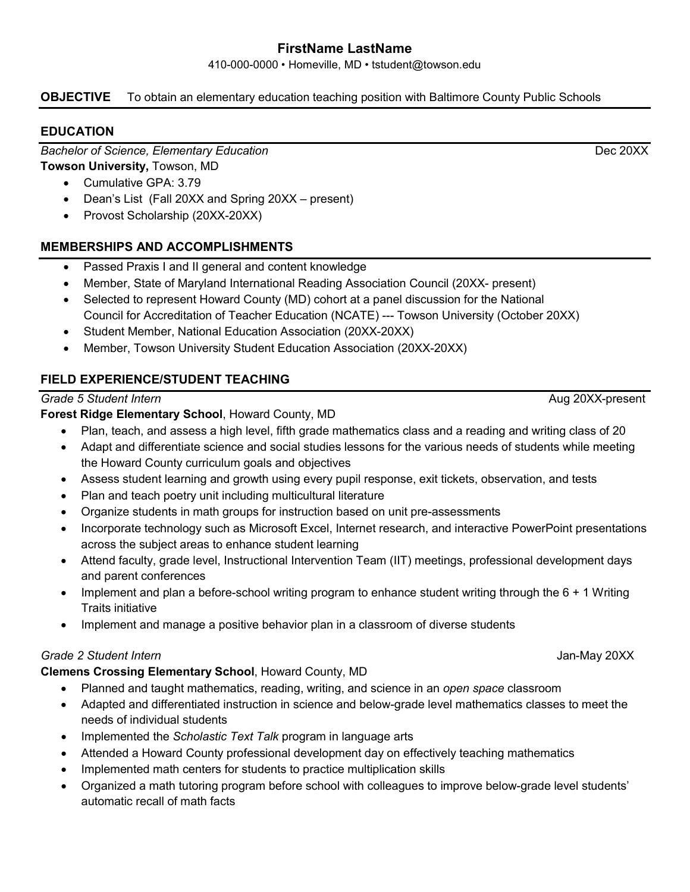# **FirstName LastName**

410-000-0000 • Homeville, MD • tstudent@towson.edu

## **OBJECTIVE** To obtain an elementary education teaching position with Baltimore County Public Schools

## **EDUCATION**

**Bachelor of Science, Elementary Education Back and Construction Dec 20XX** 

**Towson University,** Towson, MD

- Cumulative GPA: 3.79
- Dean's List (Fall 20XX and Spring 20XX present)
- Provost Scholarship (20XX-20XX)

## **MEMBERSHIPS AND ACCOMPLISHMENTS**

- Passed Praxis I and II general and content knowledge
- Member, State of Maryland International Reading Association Council (20XX- present)
- Selected to represent Howard County (MD) cohort at a panel discussion for the National Council for Accreditation of Teacher Education (NCATE) --- Towson University (October 20XX)
- Student Member, National Education Association (20XX-20XX)
- Member, Towson University Student Education Association (20XX-20XX)

# **FIELD EXPERIENCE/STUDENT TEACHING**

## **Grade 5 Student Intern Aug 20XX-present Aug 20XX-present**

**Forest Ridge Elementary School**, Howard County, MD

- Plan, teach, and assess a high level, fifth grade mathematics class and a reading and writing class of 20
- Adapt and differentiate science and social studies lessons for the various needs of students while meeting the Howard County curriculum goals and objectives
- Assess student learning and growth using every pupil response, exit tickets, observation, and tests
- Plan and teach poetry unit including multicultural literature
- Organize students in math groups for instruction based on unit pre-assessments
- Incorporate technology such as Microsoft Excel, Internet research, and interactive PowerPoint presentations across the subject areas to enhance student learning
- Attend faculty, grade level, Instructional Intervention Team (IIT) meetings, professional development days and parent conferences
- Implement and plan a before-school writing program to enhance student writing through the 6 + 1 Writing Traits initiative
- Implement and manage a positive behavior plan in a classroom of diverse students

#### *Grade 2 Student Intern* Jan-May 20XX

## **Clemens Crossing Elementary School**, Howard County, MD

- Planned and taught mathematics, reading, writing, and science in an *open space* classroom
- Adapted and differentiated instruction in science and below-grade level mathematics classes to meet the needs of individual students
- Implemented the *Scholastic Text Talk* program in language arts
- Attended a Howard County professional development day on effectively teaching mathematics
- Implemented math centers for students to practice multiplication skills
- Organized a math tutoring program before school with colleagues to improve below-grade level students' automatic recall of math facts